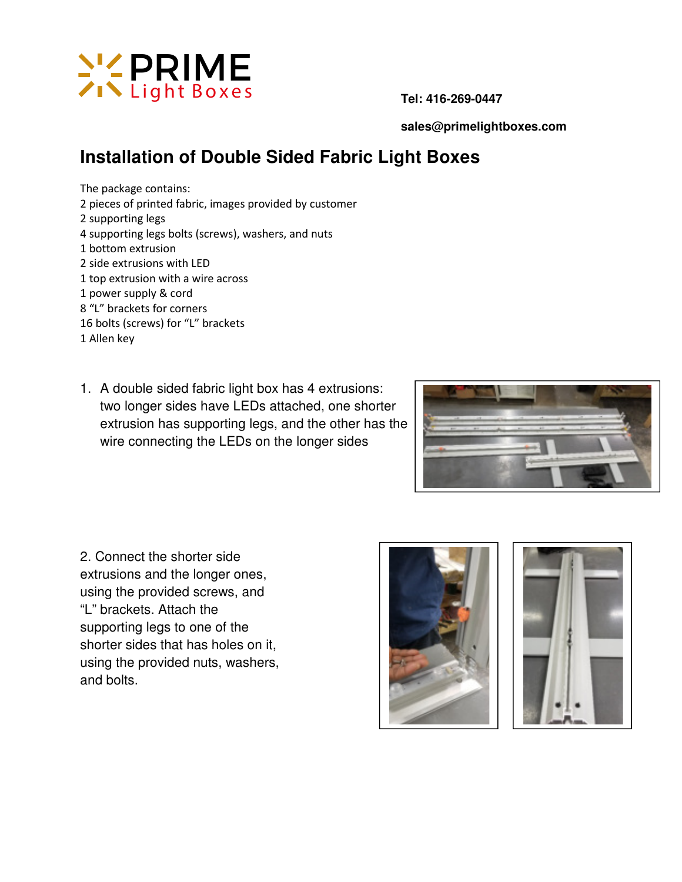

 **sales@primelightboxes.com** 

## **Installation of Double Sided Fabric Light Boxes**

The package contains: 2 pieces of printed fabric, images provided by customer 2 supporting legs 4 supporting legs bolts (screws), washers, and nuts 1 bottom extrusion 2 side extrusions with LED 1 top extrusion with a wire across 1 power supply & cord 8 "L" brackets for corners 16 bolts (screws) for "L" brackets 1 Allen key

1. A double sided fabric light box has 4 extrusions: two longer sides have LEDs attached, one shorter extrusion has supporting legs, and the other has the wire connecting the LEDs on the longer sides



2. Connect the shorter side extrusions and the longer ones, using the provided screws, and "L" brackets. Attach the supporting legs to one of the shorter sides that has holes on it, using the provided nuts, washers, and bolts.